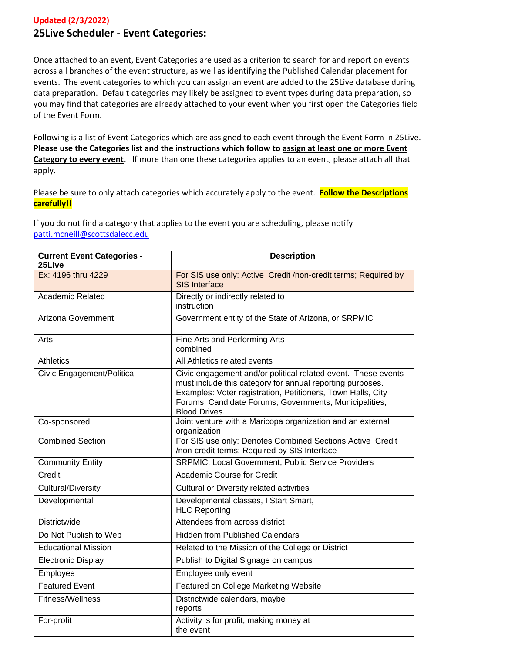## **Updated (2/3/2022) 25Live Scheduler - Event Categories:**

Once attached to an event, Event Categories are used as a criterion to search for and report on events across all branches of the event structure, as well as identifying the Published Calendar placement for events. The event categories to which you can assign an event are added to the 25Live database during data preparation. Default categories may likely be assigned to event types during data preparation, so you may find that categories are already attached to your event when you first open the Categories field of the Event Form.

Following is a list of Event Categories which are assigned to each event through the Event Form in 25Live. **Please use the Categories list and the instructions which follow to assign at least one or more Event Category to every event.** If more than one these categories applies to an event, please attach all that apply.

Please be sure to only attach categories which accurately apply to the event. **Follow the Descriptions carefully!!**

If you do not find a category that applies to the event you are scheduling, please notify [patti.mcneill@scottsdalecc.edu](mailto:patti.mcneill@scottsdalecc.edu)

| <b>Current Event Categories -</b><br>25Live | <b>Description</b>                                                                                                                                                                                                                                                          |
|---------------------------------------------|-----------------------------------------------------------------------------------------------------------------------------------------------------------------------------------------------------------------------------------------------------------------------------|
| Ex: 4196 thru 4229                          | For SIS use only: Active Credit /non-credit terms; Required by<br><b>SIS Interface</b>                                                                                                                                                                                      |
| <b>Academic Related</b>                     | Directly or indirectly related to<br>instruction                                                                                                                                                                                                                            |
| Arizona Government                          | Government entity of the State of Arizona, or SRPMIC                                                                                                                                                                                                                        |
| Arts                                        | Fine Arts and Performing Arts<br>combined                                                                                                                                                                                                                                   |
| <b>Athletics</b>                            | All Athletics related events                                                                                                                                                                                                                                                |
| Civic Engagement/Political                  | Civic engagement and/or political related event. These events<br>must include this category for annual reporting purposes.<br>Examples: Voter registration, Petitioners, Town Halls, City<br>Forums, Candidate Forums, Governments, Municipalities,<br><b>Blood Drives.</b> |
| Co-sponsored                                | Joint venture with a Maricopa organization and an external<br>organization                                                                                                                                                                                                  |
| <b>Combined Section</b>                     | For SIS use only: Denotes Combined Sections Active Credit<br>/non-credit terms; Required by SIS Interface                                                                                                                                                                   |
| <b>Community Entity</b>                     | SRPMIC, Local Government, Public Service Providers                                                                                                                                                                                                                          |
| Credit                                      | Academic Course for Credit                                                                                                                                                                                                                                                  |
| <b>Cultural/Diversity</b>                   | Cultural or Diversity related activities                                                                                                                                                                                                                                    |
| Developmental                               | Developmental classes, I Start Smart,<br><b>HLC Reporting</b>                                                                                                                                                                                                               |
| <b>Districtwide</b>                         | Attendees from across district                                                                                                                                                                                                                                              |
| Do Not Publish to Web                       | <b>Hidden from Published Calendars</b>                                                                                                                                                                                                                                      |
| <b>Educational Mission</b>                  | Related to the Mission of the College or District                                                                                                                                                                                                                           |
| <b>Electronic Display</b>                   | Publish to Digital Signage on campus                                                                                                                                                                                                                                        |
| Employee                                    | Employee only event                                                                                                                                                                                                                                                         |
| <b>Featured Event</b>                       | <b>Featured on College Marketing Website</b>                                                                                                                                                                                                                                |
| Fitness/Wellness                            | Districtwide calendars, maybe<br>reports                                                                                                                                                                                                                                    |
| For-profit                                  | Activity is for profit, making money at<br>the event                                                                                                                                                                                                                        |